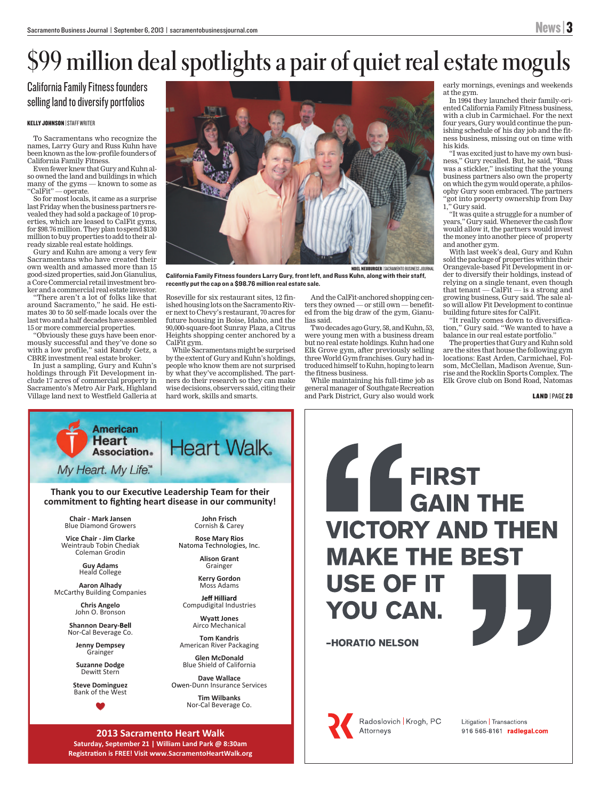# **\$99 million deal spotlights a pair of quiet real estate moguls**

California Family Fitness founders selling land to diversify portfolios

#### KELLY JOHNSON | STAFF WRITER

To Sacramentans who recognize the names, Larry Gury and Russ Kuhn have been known as the low-profile founders of California Family Fitness.

Even fewer knew that Gury and Kuhn also owned the land and buildings in which many of the gyms — known to some as "CalFit" — operate.

So for most locals, it came as a surprise last Friday when the business partners revealed they had sold a package of 10 properties, which are leased to CalFit gyms, for \$98.76 million. They plan to spend \$130 million to buy properties to add to their already sizable real estate holdings.

Gury and Kuhn are among a very few Sacramentans who have created their own wealth and amassed more than 15 good-sized properties, said Jon Gianulius, a Core Commercial retail investment broker and a commercial real estate investor.

"There aren't a lot of folks like that around Sacramento," he said. He estimates 30 to 50 self-made locals over the last two and a half decades have assembled 15 or more commercial properties.

"Obviously these guys have been enormously successful and they've done so with a low profile," said Randy Getz, a CBRE investment real estate broker.

In just a sampling, Gury and Kuhn's holdings through Fit Development include 17 acres of commercial property in Sacramento's Metro Air Park, Highland Village land next to Westfield Galleria at



California Family Fitness founders Larry Gury, front left, and Russ Kuhn, along with their staff, recently put the cap on a \$98.76 million real estate sale.

Roseville for six restaurant sites, 12 finished housing lots on the Sacramento River next to Chevy's restaurant, 70 acres for future housing in Boise, Idaho, and the 90,000-square-foot Sunray Plaza, a Citrus Heights shopping center anchored by a CalFit gym.

While Sacramentans might be surprised by the extent of Gury and Kuhn's holdings, people who know them are not surprised by what they've accomplished. The partners do their research so they can make wise decisions, observers said, citing their hard work, skills and smarts.

And the CalFit-anchored shopping centers they owned — or still own — benefited from the big draw of the gym, Gianulias said.

Two decades ago Gury, 58, and Kuhn, 53, were young men with a business dream but no real estate holdings. Kuhn had one Elk Grove gym, after previously selling three World Gym franchises. Gury had introduced himself to Kuhn, hoping to learn the fitness business.

While maintaining his full-time job as general manager of Southgate Recreation and Park District, Gury also would work

Radoslovich | Krogh, PC

Attorneys

early mornings, evenings and weekends at the gym.

In 1994 they launched their family-oriented California Family Fitness business, with a club in Carmichael. For the next four years, Gury would continue the punishing schedule of his day job and the fitness business, missing out on time with his kids.

"I was excited just to have my own business," Gury recalled. But, he said, "Russ was a stickler," insisting that the young business partners also own the property on which the gym would operate, a philosophy Gury soon embraced. The partners "got into property ownership from Day 1," Gury said.

"It was quite a struggle for a number of years," Gury said. Whenever the cash flow would allow it, the partners would invest the money into another piece of property and another gym.

With last week's deal, Gury and Kuhn sold the package of properties within their Orangevale-based Fit Development in order to diversify their holdings, instead of relying on a single tenant, even though that tenant — CalFit — is a strong and growing business, Gury said. The sale also will allow Fit Development to continue building future sites for CalFit.

"It really comes down to diversification," Gury said. "We wanted to have a balance in our real estate portfolio."

The properties that Gury and Kuhn sold are the sites that house the following gym locations: East Arden, Carmichael, Folsom, McClellan, Madison Avenue, Sunrise and the Rocklin Sports Complex. The Elk Grove club on Bond Road, Natomas

> Litigation | Transactions 916 565-8161 radlegal.com

LAND | PAGE 28



**2013 Sacramento Heart Walk Saturday, September 21 | William Land Park @ 8:30am Registration is FREE! Visit www.SacramentoHeartWalk.org**